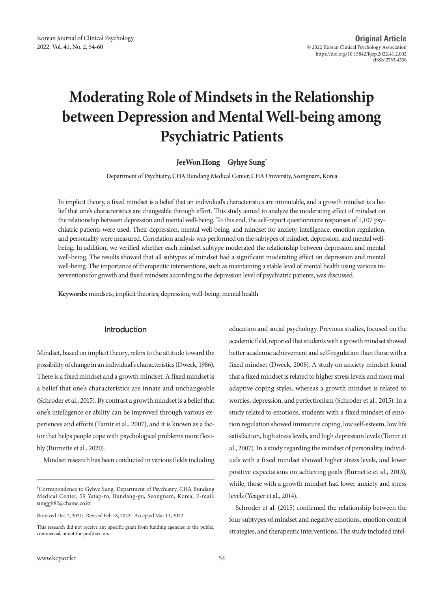# **Moderating Role of Mindsets in the Relationship between Depression and Mental Well-being among Psychiatric Patients**

**JeeWon Hong Gyhye Sung†**

Department of Psychiatry, CHA Bundang Medical Center, CHA University, Seongnam, Korea

In implicit theory, a fixed mindset is a belief that an individual's characteristics are immutable, and a growth mindset is a belief that one's characteristics are changeable through effort. This study aimed to analyze the moderating effect of mindset on the relationship between depression and mental well-being. To this end, the self-report questionnaire responses of 1,107 psychiatric patients were used. Their depression, mental well-being, and mindset for anxiety, intelligence, emotion regulation, and personality were measured. Correlation analysis was performed on the subtypes of mindset, depression, and mental wellbeing. In addition, we verified whether each mindset subtype moderated the relationship between depression and mental well-being. The results showed that all subtypes of mindset had a significant moderating effect on depression and mental well-being. The importance of therapeutic interventions, such as maintaining a stable level of mental health using various interventions for growth and fixed mindsets according to the depression level of psychiatric patients, was discussed.

**Keywords:** mindsets, implicit theories, depression, well-being, mental health

## Introduction

Mindset, based on implicit theory, refers to the attitude toward the possibility of change in an individual's characteristics (Dweck, 1986). There is a fixed mindset and a growth mindset. A fixed mindset is a belief that one's characteristics are innate and unchangeable (Schroder et al., 2015). By contrast a growth mindset is a belief that one's intelligence or ability can be improved through various experiences and efforts (Tamir et al., 2007), and it is known as a factor that helps people cope with psychological problems more flexibly (Burnette et al., 2020).

Mindset research has been conducted in various fields including

Received Dec 2, 2021; Revised Feb 18, 2022; Accepted Mar 11, 2022

education and social psychology. Previous studies, focused on the academic field, reported that students with a growth mindset showed better academic achievement and self-regulation than those with a fixed mindset (Dweck, 2008). A study on anxiety mindset found that a fixed mindset is related to higher stress levels and more maladaptive coping styles, whereas a growth mindset is related to worries, depression, and perfectionism (Schroder et al., 2015). In a study related to emotions, students with a fixed mindset of emotion regulation showed immature coping, low self-esteem, low life satisfaction, high stress levels, and high depression levels (Tamir et al., 2007). In a study regarding the mindset of personality, individuals with a fixed mindset showed higher stress levels, and lower positive expectations on achieving goals (Burnette et al., 2013), while, those with a growth mindset had lower anxiety and stress levels (Yeager et al., 2014).

Schroder et al. (2015) confirmed the relationship between the four subtypes of mindset and negative emotions, emotion control strategies, and therapeutic interventions. The study included intel-

**<sup>†</sup>** Correspondence to Gyhye Sung, Department of Psychiatry, CHA Bundang Medical Center, 59 Yatap-ro, Bundang-gu, Seongnam, Korea; E-mail: sunggh82@chamc.co.kr

This research did not receive any specific grant from funding agencies in the public, commercial, or not-for-profit sectors.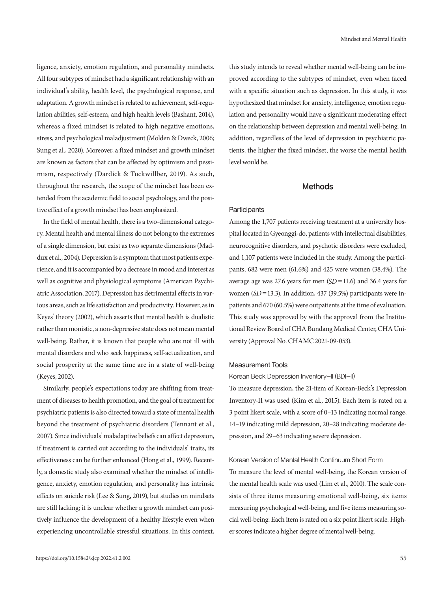ligence, anxiety, emotion regulation, and personality mindsets. All four subtypes of mindset had a significant relationship with an individual's ability, health level, the psychological response, and adaptation. A growth mindset is related to achievement, self-regulation abilities, self-esteem, and high health levels (Bashant, 2014), whereas a fixed mindset is related to high negative emotions, stress, and psychological maladjustment (Molden & Dweck, 2006; Sung et al., 2020). Moreover, a fixed mindset and growth mindset are known as factors that can be affected by optimism and pessimism, respectively (Dardick & Tuckwillber, 2019). As such, throughout the research, the scope of the mindset has been extended from the academic field to social psychology, and the positive effect of a growth mindset has been emphasized.

In the field of mental health, there is a two-dimensional category. Mental health and mental illness do not belong to the extremes of a single dimension, but exist as two separate dimensions (Maddux et al., 2004). Depression is a symptom that most patients experience, and it is accompanied by a decrease in mood and interest as well as cognitive and physiological symptoms (American Psychiatric Association, 2017). Depression has detrimental effects in various areas, such as life satisfaction and productivity. However, as in Keyes' theory (2002), which asserts that mental health is dualistic rather than monistic, a non-depressive state does not mean mental well-being. Rather, it is known that people who are not ill with mental disorders and who seek happiness, self-actualization, and social prosperity at the same time are in a state of well-being (Keyes, 2002).

Similarly, people's expectations today are shifting from treatment of diseases to health promotion, and the goal of treatment for psychiatric patients is also directed toward a state of mental health beyond the treatment of psychiatric disorders (Tennant et al., 2007). Since individuals' maladaptive beliefs can affect depression, if treatment is carried out according to the individuals' traits, its effectiveness can be further enhanced (Hong et al., 1999). Recently, a domestic study also examined whether the mindset of intelligence, anxiety, emotion regulation, and personality has intrinsic effects on suicide risk (Lee & Sung, 2019), but studies on mindsets are still lacking; it is unclear whether a growth mindset can positively influence the development of a healthy lifestyle even when experiencing uncontrollable stressful situations. In this context,

this study intends to reveal whether mental well-being can be improved according to the subtypes of mindset, even when faced with a specific situation such as depression. In this study, it was hypothesized that mindset for anxiety, intelligence, emotion regulation and personality would have a significant moderating effect on the relationship between depression and mental well-being. In addition, regardless of the level of depression in psychiatric patients, the higher the fixed mindset, the worse the mental health level would be.

## Methods

## **Participants**

Among the 1,707 patients receiving treatment at a university hospital located in Gyeonggi-do, patients with intellectual disabilities, neurocognitive disorders, and psychotic disorders were excluded, and 1,107 patients were included in the study. Among the participants, 682 were men (61.6%) and 425 were women (38.4%). The average age was 27.6 years for men (*SD*=11.6) and 36.4 years for women (*SD*=13.3). In addition, 437 (39.5%) participants were inpatients and 670 (60.5%) were outpatients at the time of evaluation. This study was approved by with the approval from the Institutional Review Board of CHA Bundang Medical Center, CHA University (Approval No. CHAMC 2021-09-053).

## Measurement Tools

#### Korean Beck Depression Inventory-II (BDI-II)

To measure depression, the 21-item of Korean-Beck's Depression Inventory-II was used (Kim et al., 2015). Each item is rated on a 3 point likert scale, with a score of 0–13 indicating normal range, 14–19 indicating mild depression, 20–28 indicating moderate depression, and 29–63 indicating severe depression.

#### Korean Version of Mental Health Continuum Short Form

To measure the level of mental well-being, the Korean version of the mental health scale was used (Lim et al., 2010). The scale consists of three items measuring emotional well-being, six items measuring psychological well-being, and five items measuring social well-being. Each item is rated on a six point likert scale. Higher scores indicate a higher degree of mental well-being.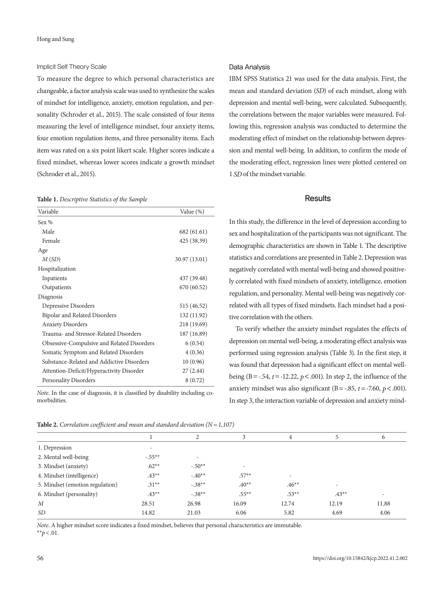#### Implicit Self Theory Scale

To measure the degree to which personal characteristics are changeable, a factor analysis scale was used to synthesize the scales of mindset for intelligence, anxiety, emotion regulation, and personality (Schroder et al., 2015). The scale consisted of four items measuring the level of intelligence mindset, four anxiety items, four emotion regulation items, and three personality items. Each item was rated on a six point likert scale. Higher scores indicate a fixed mindset, whereas lower scores indicate a growth mindset (Schroder et al., 2015).

#### **Table 1.** *Descriptive Statistics of the Sample*

| Variable                                   | Value (%)     |
|--------------------------------------------|---------------|
| Sex $%$                                    |               |
| Male                                       | 682 (61.61)   |
| Female                                     | 425 (38.39)   |
| Age                                        |               |
| M(SD)                                      | 30.97 (13.01) |
| Hospitalization                            |               |
| Inpatients                                 | 437 (39.48)   |
| Outpatients                                | 670 (60.52)   |
| Diagnosis                                  |               |
| Depressive Disorders                       | 515 (46.52)   |
| <b>Bipolar and Related Disorders</b>       | 132 (11.92)   |
| <b>Anxiety Disorders</b>                   | 218 (19.69)   |
| Trauma- and Stressor-Related Disorders     | 187 (16.89)   |
| Obsessive-Compulsive and Related Disorders | 6(0.54)       |
| Somatic Symptom and Related Disorders      | 4(0.36)       |
| Substance-Related and Addictive Disorders  | 10(0.96)      |
| Attention-Deficit/Hyperactivity Disorder   | 27(2.44)      |
| <b>Personality Disorders</b>               | 8(0.72)       |

*Note*. In the case of diagnosis, it is classified by disability including comorbidities.

| <b>Table 2.</b> Correlation coefficient and mean and standard deviation ( $N = 1,107$ ) |  |  |  |  |  |
|-----------------------------------------------------------------------------------------|--|--|--|--|--|
|-----------------------------------------------------------------------------------------|--|--|--|--|--|

# Data Analysis

IBM SPSS Statistics 21 was used for the data analysis. First, the mean and standard deviation (*SD*) of each mindset, along with depression and mental well-being, were calculated. Subsequently, the correlations between the major variables were measured. Following this, regression analysis was conducted to determine the moderating effect of mindset on the relationship between depression and mental well-being. In addition, to confirm the mode of the moderating effect, regression lines were plotted centered on 1 *SD* of the mindset variable.

## **Results**

In this study, the difference in the level of depression according to sex and hospitalization of the participants was not significant. The demographic characteristics are shown in Table 1. The descriptive statistics and correlations are presented in Table 2. Depression was negatively correlated with mental well-being and showed positively correlated with fixed mindsets of anxiety, intelligence, emotion regulation, and personality. Mental well-being was negatively correlated with all types of fixed mindsets. Each mindset had a positive correlation with the others.

To verify whether the anxiety mindset regulates the effects of depression on mental well-being, a moderating effect analysis was performed using regression analysis (Table 3). In the first step, it was found that depression had a significant effect on mental wellbeing (B=-.54, *t*=-12.22, *p*<.001). In step 2, the influence of the anxiety mindset was also significant (B = -.85,  $t$  = -7.60,  $p$  < .001). In step 3, the interaction variable of depression and anxiety mind-

| $\tilde{\phantom{a}}$ |                          |          |                          |         |                |
|-----------------------|--------------------------|----------|--------------------------|---------|----------------|
|                       | 2                        | 3        | $\overline{4}$           | 5       | 6              |
| $\overline{a}$        |                          |          |                          |         |                |
| $-.55**$              | $\overline{\phantom{a}}$ |          |                          |         |                |
| $.62**$               | $-.50**$                 | ٠        |                          |         |                |
| $.43**$               | $-.40**$                 | $.57**$  | $\overline{\phantom{a}}$ |         |                |
| $.31**$               | $-.38**$                 | $.40**$  | $.46**$                  | $\sim$  |                |
| $.43**$               | $-.38**$                 | $.55***$ | $.53**$                  | $.43**$ | $\overline{a}$ |
| 28.51                 | 26.98                    | 16.09    | 12.74                    | 12.19   | 11.88          |
| 14.82                 | 21.03                    | 6.06     | 5.82                     | 4.69    | 4.06           |
|                       |                          |          |                          |         |                |

*Note*. A higher mindset score indicates a fixed mindset, believes that personal characteristics are immutable. \*\* $p < .01$ .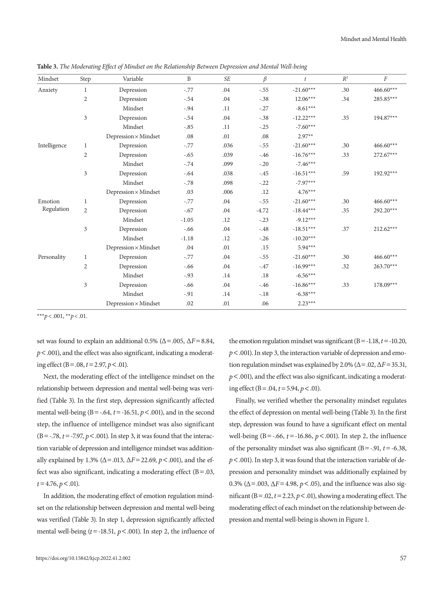| Mindset                               | Step           | Variable                    | $\mathbf{B}$ | SE   | $\beta$ | t           | $R^2$ | $\boldsymbol{F}$ |
|---------------------------------------|----------------|-----------------------------|--------------|------|---------|-------------|-------|------------------|
| Anxiety                               | 1              | Depression                  | $-.77$       | .04  | $-.55$  | $-21.60***$ | .30   | 466.60***        |
|                                       | $\overline{2}$ | Depression                  | $-.54$       | .04  | $-.38$  | $12.06***$  | .34   | 285.85***        |
|                                       |                | Mindset                     | $-.94$       | .11  | $-.27$  | $-8.61***$  |       |                  |
|                                       | 3              | Depression                  | $-.54$       | .04  | $-.38$  | $-12.22***$ | .35   | 194.87***        |
|                                       |                | Mindset                     | $-.85$       | .11  | $-.25$  | $-7.60***$  |       |                  |
|                                       |                | $Depression \times Mindset$ | $.08\,$      | .01  | $.08\,$ | $2.97**$    |       |                  |
| $\label{thm:rel} \text{Intelligence}$ | 1              | Depression                  | $-.77$       | .036 | $-.55$  | $-21.60***$ | .30   | 466.60***        |
|                                       | $\overline{2}$ | Depression                  | $-.65$       | .039 | $-.46$  | $-16.76***$ | .33   | $272.67***$      |
|                                       |                | Mindset                     | $-.74$       | .099 | $-.20$  | $-7.46***$  |       |                  |
|                                       | 3              | Depression                  | $-.64$       | .038 | $-.45$  | $-16.51***$ | .59   | 192.92***        |
|                                       |                | Mindset                     | $-.78$       | .098 | $-.22$  | $-7.97***$  |       |                  |
|                                       |                | $Depression \times Mindset$ | .03          | .006 | .12     | $4.76***$   |       |                  |
| Emotion<br>Regulation                 | $\mathbf{1}$   | Depression                  | $-.77$       | .04  | $-.55$  | $-21.60***$ | .30   | $466.60***$      |
|                                       | $\overline{2}$ | Depression                  | $-.67$       | .04  | $-4.72$ | $-18.44***$ | .35   | 292.20***        |
|                                       |                | Mindset                     | $-1.05$      | .12  | $-.23$  | $-9.12***$  |       |                  |
|                                       | 3              | Depression                  | $-.66$       | .04  | $-.48$  | $-18.51***$ | .37   | $212.62***$      |
|                                       |                | Mindset                     | $-1.18$      | .12  | $-.26$  | $-10.20***$ |       |                  |
|                                       |                | $Depression \times Mindset$ | $.04\,$      | .01  | .15     | $5.94***$   |       |                  |
| Personality                           | $\mathbf{1}$   | Depression                  | $-.77$       | .04  | $-.55$  | $-21.60***$ | .30   | 466.60***        |
|                                       | 2              | Depression                  | $-.66$       | .04  | $-.47$  | $-16.99***$ | .32   | 263.70***        |
|                                       |                | Mindset                     | $-0.93$      | .14  | .18     | $-6.56***$  |       |                  |
|                                       | 3              | Depression                  | $-.66$       | .04  | $-.46$  | $-16.86***$ | .33   | 178.09***        |
|                                       |                | Mindset                     | $-.91$       | .14  | $-.18$  | $-6.38***$  |       |                  |
|                                       |                | Depression $\times$ Mindset | .02          | .01  | .06     | $2.23***$   |       |                  |

**Table 3.** *The Moderating Effect of Mindset on the Relationship Between Depression and Mental Well-being*

\*\*\**p*< .001, \*\**p*< .01.

set was found to explain an additional 0.5% ( $\Delta$ =.005,  $\Delta$ *F*=8.84, *p*<.001), and the effect was also significant, indicating a moderating effect (B = .08,  $t = 2.97$ ,  $p < .01$ ).

Next, the moderating effect of the intelligence mindset on the relationship between depression and mental well-being was verified (Table 3). In the first step, depression significantly affected mental well-being ( $B = -0.64$ ,  $t = -16.51$ ,  $p < .001$ ), and in the second step, the influence of intelligence mindset was also significant  $(B = -78, t = -7.97, p < .001)$ . In step 3, it was found that the interaction variable of depression and intelligence mindset was additionally explained by 1.3% (Δ=.013, Δ*F*=22.69, *p*<.001), and the effect was also significant, indicating a moderating effect (B=.03, *t*=4.76, *p*<.01).

In addition, the moderating effect of emotion regulation mindset on the relationship between depression and mental well-being was verified (Table 3). In step 1, depression significantly affected mental well-being  $(t = -18.51, p < .001)$ . In step 2, the influence of

the emotion regulation mindset was significant (B=-1.18, *t*=-10.20, *p*<.001). In step 3, the interaction variable of depression and emotion regulation mindset was explained by 2.0% (Δ=.02, Δ*F*=35.31, *p*<.001), and the effect was also significant, indicating a moderating effect ( $B = .04$ ,  $t = 5.94$ ,  $p < .01$ ).

Finally, we verified whether the personality mindset regulates the effect of depression on mental well-being (Table 3). In the first step, depression was found to have a significant effect on mental well-being (B=-.66, *t* =-16.86, *p*<.001). In step 2, the influence of the personality mindset was also significant (B=-.91, *t*=-6.38, *p*<.001). In step 3, it was found that the interaction variable of depression and personality mindset was additionally explained by 0.3% ( $\Delta$ =.003,  $\Delta$ *F*=4.98, *p* <.05), and the influence was also significant ( $B = .02$ ,  $t = 2.23$ ,  $p < .01$ ), showing a moderating effect. The moderating effect of each mindset on the relationship between depression and mental well-being is shown in Figure 1.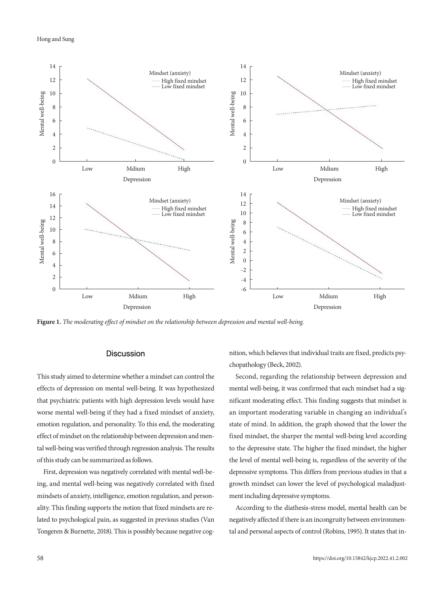

**Figure 1.** *The moderating effect of mindset on the relationship between depression and mental well-being.*

## **Discussion**

This study aimed to determine whether a mindset can control the effects of depression on mental well-being. It was hypothesized that psychiatric patients with high depression levels would have worse mental well-being if they had a fixed mindset of anxiety, emotion regulation, and personality. To this end, the moderating effect of mindset on the relationship between depression and mental well-being was verified through regression analysis. The results of this study can be summarized as follows.

First, depression was negatively correlated with mental well-being, and mental well-being was negatively correlated with fixed mindsets of anxiety, intelligence, emotion regulation, and personality. This finding supports the notion that fixed mindsets are related to psychological pain, as suggested in previous studies (Van Tongeren & Burnette, 2018). This is possibly because negative cognition, which believes that individual traits are fixed, predicts psychopathology (Beck, 2002).

Second, regarding the relationship between depression and mental well-being, it was confirmed that each mindset had a significant moderating effect. This finding suggests that mindset is an important moderating variable in changing an individual's state of mind. In addition, the graph showed that the lower the fixed mindset, the sharper the mental well-being level according to the depressive state. The higher the fixed mindset, the higher the level of mental well-being is, regardless of the severity of the depressive symptoms. This differs from previous studies in that a growth mindset can lower the level of psychological maladjustment including depressive symptoms.

According to the diathesis-stress model, mental health can be negatively affected if there is an incongruity between environmental and personal aspects of control (Robins, 1995). It states that in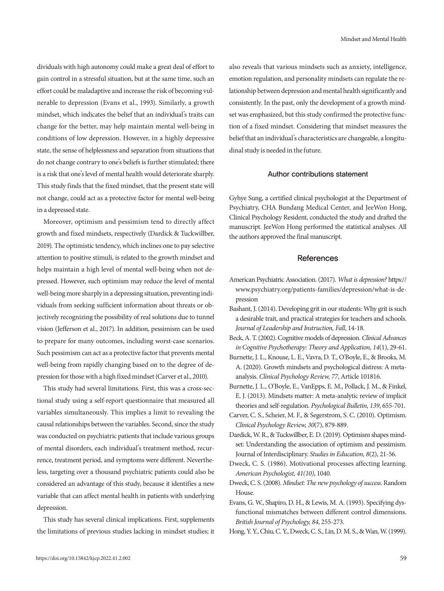dividuals with high autonomy could make a great deal of effort to gain control in a stressful situation, but at the same time, such an effort could be maladaptive and increase the risk of becoming vulnerable to depression (Evans et al., 1993). Similarly, a growth mindset, which indicates the belief that an individual's traits can change for the better, may help maintain mental well-being in conditions of low depression. However, in a highly depressive state, the sense of helplessness and separation from situations that do not change contrary to one's beliefs is further stimulated; there is a risk that one's level of mental health would deteriorate sharply. This study finds that the fixed mindset, that the present state will not change, could act as a protective factor for mental well-being in a depressed state.

Moreover, optimism and pessimism tend to directly affect growth and fixed mindsets, respectively (Dardick & Tuckwillber, 2019). The optimistic tendency, which inclines one to pay selective attention to positive stimuli, is related to the growth mindset and helps maintain a high level of mental well-being when not depressed. However, such optimism may reduce the level of mental well-being more sharply in a depressing situation, preventing individuals from seeking sufficient information about threats or objectively recognizing the possibility of real solutions due to tunnel vision (Jefferson et al., 2017). In addition, pessimism can be used to prepare for many outcomes, including worst-case scenarios. Such pessimism can act as a protective factor that prevents mental well-being from rapidly changing based on to the degree of depression for those with a high fixed mindset (Carver et al., 2010).

This study had several limitations. First, this was a cross-sectional study using a self-report questionnaire that measured all variables simultaneously. This implies a limit to revealing the causal relationships between the variables. Second, since the study was conducted on psychiatric patients that include various groups of mental disorders, each individual's treatment method, recurrence, treatment period, and symptoms were different. Nevertheless, targeting over a thousand psychiatric patients could also be considered an advantage of this study, because it identifies a new variable that can affect mental health in patients with underlying depression.

This study has several clinical implications. First, supplements the limitations of previous studies lacking in mindset studies; it also reveals that various mindsets such as anxiety, intelligence, emotion regulation, and personality mindsets can regulate the relationship between depression and mental health significantly and consistently. In the past, only the development of a growth mindset was emphasized, but this study confirmed the protective function of a fixed mindset. Considering that mindset measures the belief that an individual's characteristics are changeable, a longitudinal study is needed in the future.

## Author contributions statement

Gyhye Sung, a certified clinical psychologist at the Department of Psychiatry, CHA Bundang Medical Center, and JeeWon Hong, Clinical Psychology Resident, conducted the study and drafted the manuscript. JeeWon Hong performed the statistical analyses. All the authors approved the final manuscript.

## References

- American Psychiatric Association. (2017). *What is depression?* https:// www.psychiatry.org/patients-families/depression/what-is-depression
- Bashant, J. (2014). Developing grit in our students: Why grit is such a desirable trait, and practical strategies for teachers and schools. *Journal of Leadership and Instruction, Fall*, 14-18.
- Beck, A. T. (2002). Cognitive models of depression. *Clinical Advances in Cognitive Psychotherapy: Theory and Application, 14*(1), 29-61.
- Burnette, J. L., Knouse, L. E., Vavra, D. T., O'Boyle, E., & Brooks, M. A. (2020). Growth mindsets and psychological distress: A metaanalysis. *Clinical Psychology Review, 77*, Article 101816.
- Burnette, J. L., O'Boyle, E., VanEpps, E. M., Pollack, J. M., & Finkel, E. J. (2013). Mindsets matter: A meta-analytic review of implicit theories and self-regulation. *Psychological Bulletin, 139*, 655-701.
- Carver, C. S., Scheier, M. F., & Segerstrom, S. C. (2010). Optimism. *Clinical Psychology Review, 30*(7), 879-889.
- Dardick, W. R., & Tuckwillber, E. D. (2019). Optimism shapes mindset: Understanding the association of optimism and pessimism. Journal of Interdisciplinary. *Studies in Education, 8*(2), 21-56.
- Dweck, C. S. (1986). Motivational processes affecting learning. *American Psychologist, 41(10)*, 1040.
- Dweck, C. S. (2008). *Mindset: The new psychology of success*. Random House.
- Evans, G. W., Shapiro, D. H., & Lewis, M. A. (1993). Specifying dysfunctional mismatches between different control dimensions. *British Journal of Psychology, 84*, 255-273.
- Hong, Y. Y., Chiu, C. Y., Dweck, C. S., Lin, D. M. S., & Wan, W. (1999).